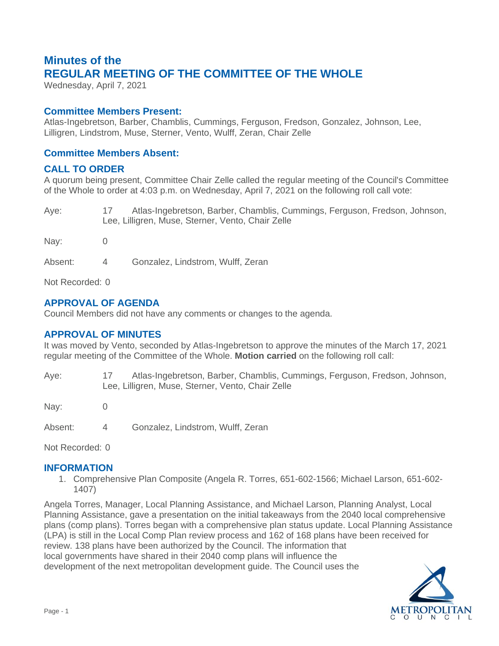# **Minutes of the REGULAR MEETING OF THE COMMITTEE OF THE WHOLE**

Wednesday, April 7, 2021

### **Committee Members Present:**

Atlas-Ingebretson, Barber, Chamblis, Cummings, Ferguson, Fredson, Gonzalez, Johnson, Lee, Lilligren, Lindstrom, Muse, Sterner, Vento, Wulff, Zeran, Chair Zelle

## **Committee Members Absent:**

### **CALL TO ORDER**

A quorum being present, Committee Chair Zelle called the regular meeting of the Council's Committee of the Whole to order at 4:03 p.m. on Wednesday, April 7, 2021 on the following roll call vote:

| Aye: | Atlas-Ingebretson, Barber, Chamblis, Cummings, Ferguson, Fredson, Johnson, |
|------|----------------------------------------------------------------------------|
|      | Lee, Lilligren, Muse, Sterner, Vento, Chair Zelle                          |

Nay: 0

Absent: 4 Gonzalez, Lindstrom, Wulff, Zeran

Not Recorded: 0

# **APPROVAL OF AGENDA**

Council Members did not have any comments or changes to the agenda.

#### **APPROVAL OF MINUTES**

It was moved by Vento, seconded by Atlas-Ingebretson to approve the minutes of the March 17, 2021 regular meeting of the Committee of the Whole. **Motion carried** on the following roll call:

Aye: 17 Atlas-Ingebretson, Barber, Chamblis, Cummings, Ferguson, Fredson, Johnson, Lee, Lilligren, Muse, Sterner, Vento, Chair Zelle

Nav: 0

Absent: 4 Gonzalez, Lindstrom, Wulff, Zeran

Not Recorded: 0

#### **INFORMATION**

1. Comprehensive Plan Composite (Angela R. Torres, 651-602-1566; Michael Larson, 651-602- 1407)

Angela Torres, Manager, Local Planning Assistance, and Michael Larson, Planning Analyst, Local Planning Assistance, gave a presentation on the initial takeaways from the 2040 local comprehensive plans (comp plans). Torres began with a comprehensive plan status update. Local Planning Assistance (LPA) is still in the Local Comp Plan review process and 162 of 168 plans have been received for review. 138 plans have been authorized by the Council. The information that local governments have shared in their 2040 comp plans will influence the development of the next metropolitan development guide. The Council uses the